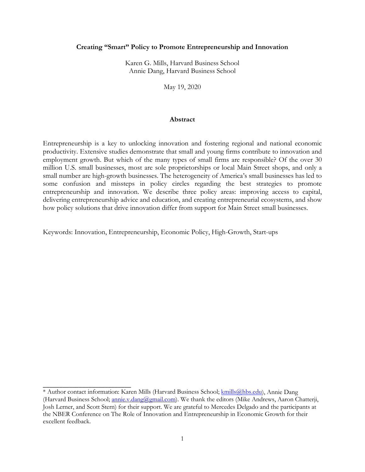## **Creating "Smart" Policy to Promote Entrepreneurship and Innovation**

Karen G. Mills, Harvard Business School Annie Dang, Harvard Business School

May 19, 2020

## **Abstract**

Entrepreneurship is a key to unlocking innovation and fostering regional and national economic productivity. Extensive studies demonstrate that small and young firms contribute to innovation and employment growth. But which of the many types of small firms are responsible? Of the over 30 million U.S. small businesses, most are sole proprietorships or local Main Street shops, and only a small number are high-growth businesses. The heterogeneity of America's small businesses has led to some confusion and missteps in policy circles regarding the best strategies to promote entrepreneurship and innovation. We describe three policy areas: improving access to capital, delivering entrepreneurship advice and education, and creating entrepreneurial ecosystems, and show how policy solutions that drive innovation differ from support for Main Street small businesses.

Keywords: Innovation, Entrepreneurship, Economic Policy, High-Growth, Start-ups

\_\_\_\_\_\_\_\_\_\_\_\_\_\_\_\_\_\_\_\_\_\_\_\_\_\_\_

<sup>\*</sup> Author contact information: Karen Mills (Harvard Business School; [kmills@hbs.edu\)](mailto:kmills@hbs.edu), Annie Dang (Harvard Business School; *annie.v.dang@gmail.com*). We thank the editors (Mike Andrews, Aaron Chatterji, Josh Lerner, and Scott Stern) for their support. We are grateful to Mercedes Delgado and the participants at the NBER Conference on The Role of Innovation and Entrepreneurship in Economic Growth for their excellent feedback.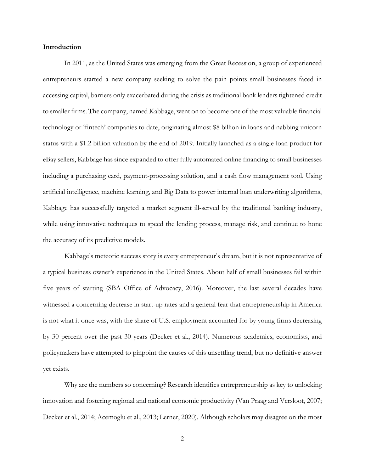# **Introduction**

In 2011, as the United States was emerging from the Great Recession, a group of experienced entrepreneurs started a new company seeking to solve the pain points small businesses faced in accessing capital, barriers only exacerbated during the crisis as traditional bank lenders tightened credit to smaller firms. The company, named Kabbage, went on to become one of the most valuable financial technology or 'fintech' companies to date, originating almost \$8 billion in loans and nabbing unicorn status with a \$1.2 billion valuation by the end of 2019. Initially launched as a single loan product for eBay sellers, Kabbage has since expanded to offer fully automated online financing to small businesses including a purchasing card, payment-processing solution, and a cash flow management tool. Using artificial intelligence, machine learning, and Big Data to power internal loan underwriting algorithms, Kabbage has successfully targeted a market segment ill-served by the traditional banking industry, while using innovative techniques to speed the lending process, manage risk, and continue to hone the accuracy of its predictive models.

Kabbage's meteoric success story is every entrepreneur's dream, but it is not representative of a typical business owner's experience in the United States. About half of small businesses fail within five years of starting (SBA Office of Advocacy, 2016). Moreover, the last several decades have witnessed a concerning decrease in start-up rates and a general fear that entrepreneurship in America is not what it once was, with the share of U.S. employment accounted for by young firms decreasing by 30 percent over the past 30 years (Decker et al., 2014). Numerous academics, economists, and policymakers have attempted to pinpoint the causes of this unsettling trend, but no definitive answer yet exists.

Why are the numbers so concerning? Research identifies entrepreneurship as key to unlocking innovation and fostering regional and national economic productivity (Van Praag and Versloot, 2007; Decker et al., 2014; Acemoglu et al., 2013; Lerner, 2020). Although scholars may disagree on the most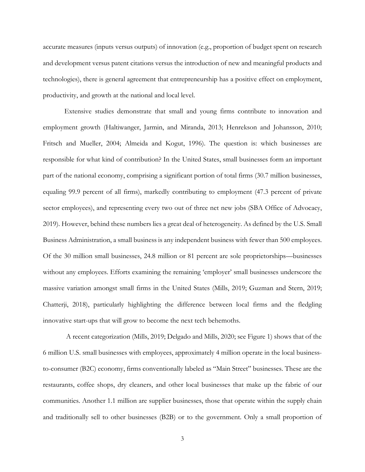accurate measures (inputs versus outputs) of innovation (e.g., proportion of budget spent on research and development versus patent citations versus the introduction of new and meaningful products and technologies), there is general agreement that entrepreneurship has a positive effect on employment, productivity, and growth at the national and local level.

Extensive studies demonstrate that small and young firms contribute to innovation and employment growth (Haltiwanger, Jarmin, and Miranda, 2013; Henrekson and Johansson, 2010; Fritsch and Mueller, 2004; Almeida and Kogut, 1996). The question is: which businesses are responsible for what kind of contribution? In the United States, small businesses form an important part of the national economy, comprising a significant portion of total firms (30.7 million businesses, equaling 99.9 percent of all firms), markedly contributing to employment (47.3 percent of private sector employees), and representing every two out of three net new jobs (SBA Office of Advocacy, 2019). However, behind these numbers lies a great deal of heterogeneity. As defined by the U.S. Small Business Administration, a small business is any independent business with fewer than 500 employees. Of the 30 million small businesses, 24.8 million or 81 percent are sole proprietorships—businesses without any employees. Efforts examining the remaining 'employer' small businesses underscore the massive variation amongst small firms in the United States (Mills, 2019; Guzman and Stern, 2019; Chatterji, 2018), particularly highlighting the difference between local firms and the fledgling innovative start-ups that will grow to become the next tech behemoths.

A recent categorization (Mills, 2019; Delgado and Mills, 2020; see Figure 1) shows that of the 6 million U.S. small businesses with employees, approximately 4 million operate in the local businessto-consumer (B2C) economy, firms conventionally labeled as "Main Street" businesses. These are the restaurants, coffee shops, dry cleaners, and other local businesses that make up the fabric of our communities. Another 1.1 million are supplier businesses, those that operate within the supply chain and traditionally sell to other businesses (B2B) or to the government. Only a small proportion of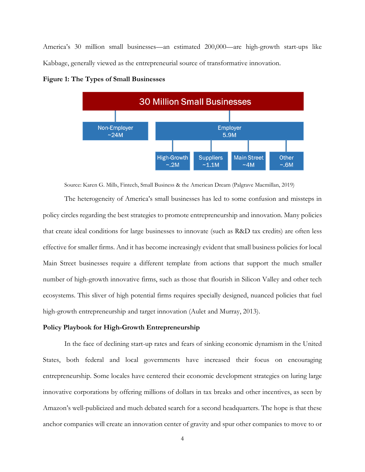America's 30 million small businesses—an estimated 200,000—are high-growth start-ups like Kabbage, generally viewed as the entrepreneurial source of transformative innovation.



**Figure 1: The Types of Small Businesses**

Source: Karen G. Mills, Fintech, Small Business & the American Dream (Palgrave Macmillan, 2019)

The heterogeneity of America's small businesses has led to some confusion and missteps in policy circles regarding the best strategies to promote entrepreneurship and innovation. Many policies that create ideal conditions for large businesses to innovate (such as R&D tax credits) are often less effective for smaller firms. And it has become increasingly evident that small business policies for local Main Street businesses require a different template from actions that support the much smaller number of high-growth innovative firms, such as those that flourish in Silicon Valley and other tech ecosystems. This sliver of high potential firms requires specially designed, nuanced policies that fuel high-growth entrepreneurship and target innovation (Aulet and Murray, 2013).

# **Policy Playbook for High-Growth Entrepreneurship**

In the face of declining start-up rates and fears of sinking economic dynamism in the United States, both federal and local governments have increased their focus on encouraging entrepreneurship. Some locales have centered their economic development strategies on luring large innovative corporations by offering millions of dollars in tax breaks and other incentives, as seen by Amazon's well-publicized and much debated search for a second headquarters. The hope is that these anchor companies will create an innovation center of gravity and spur other companies to move to or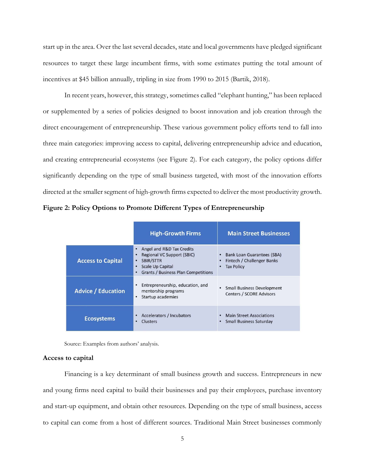start up in the area. Over the last several decades, state and local governments have pledged significant resources to target these large incumbent firms, with some estimates putting the total amount of incentives at \$45 billion annually, tripling in size from 1990 to 2015 (Bartik, 2018).

In recent years, however, this strategy, sometimes called "elephant hunting," has been replaced or supplemented by a series of policies designed to boost innovation and job creation through the direct encouragement of entrepreneurship. These various government policy efforts tend to fall into three main categories: improving access to capital, delivering entrepreneurship advice and education, and creating entrepreneurial ecosystems (see Figure 2). For each category, the policy options differ significantly depending on the type of small business targeted, with most of the innovation efforts directed at the smaller segment of high-growth firms expected to deliver the most productivity growth.

**Figure 2: Policy Options to Promote Different Types of Entrepreneurship**

|                           | <b>High-Growth Firms</b>                                                                                                                                | <b>Main Street Businesses</b>                                                      |
|---------------------------|---------------------------------------------------------------------------------------------------------------------------------------------------------|------------------------------------------------------------------------------------|
| <b>Access to Capital</b>  | Angel and R&D Tax Credits<br>Regional VC Support (SBIC)<br><b>SBIR/STTR</b><br>٠<br>Scale Up Capital<br>۰<br><b>Grants / Business Plan Competitions</b> | Bank Loan Guarantees (SBA)<br>٠<br>Fintech / Challenger Banks<br><b>Tax Policy</b> |
| <b>Advice / Education</b> | Entrepreneurship, education, and<br>mentorship programs<br>Startup academies<br>$\bullet$                                                               | • Small Business Development<br><b>Centers / SCORE Advisors</b>                    |
| <b>Ecosystems</b>         | <b>Accelerators / Incubators</b><br>Clusters                                                                                                            | <b>Main Street Associations</b><br>$\bullet$<br><b>Small Business Saturday</b>     |

Source: Examples from authors' analysis.

## **Access to capital**

Financing is a key determinant of small business growth and success. Entrepreneurs in new and young firms need capital to build their businesses and pay their employees, purchase inventory and start-up equipment, and obtain other resources. Depending on the type of small business, access to capital can come from a host of different sources. Traditional Main Street businesses commonly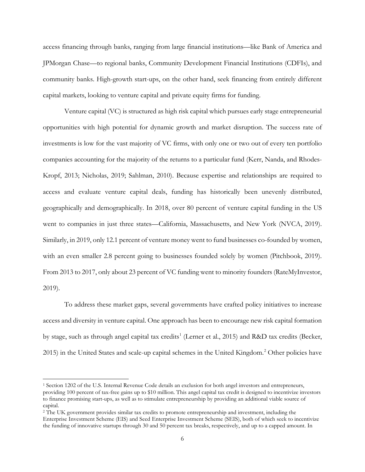access financing through banks, ranging from large financial institutions—like Bank of America and JPMorgan Chase—to regional banks, Community Development Financial Institutions (CDFIs), and community banks. High-growth start-ups, on the other hand, seek financing from entirely different capital markets, looking to venture capital and private equity firms for funding.

Venture capital (VC) is structured as high risk capital which pursues early stage entrepreneurial opportunities with high potential for dynamic growth and market disruption. The success rate of investments is low for the vast majority of VC firms, with only one or two out of every ten portfolio companies accounting for the majority of the returns to a particular fund (Kerr, Nanda, and Rhodes-Kropf, 2013; Nicholas, 2019; Sahlman, 2010). Because expertise and relationships are required to access and evaluate venture capital deals, funding has historically been unevenly distributed, geographically and demographically. In 2018, over 80 percent of venture capital funding in the US went to companies in just three states—California, Massachusetts, and New York (NVCA, 2019). Similarly, in 2019, only 12.1 percent of venture money went to fund businesses co-founded by women, with an even smaller 2.8 percent going to businesses founded solely by women (Pitchbook, 2019). From 2013 to 2017, only about 23 percent of VC funding went to minority founders (RateMyInvestor, 2019).

To address these market gaps, several governments have crafted policy initiatives to increase access and diversity in venture capital. One approach has been to encourage new risk capital formation by stage, such as through angel capital tax credits<sup>[1](#page-5-0)</sup> (Lerner et al., 2015) and R&D tax credits (Becker, [2](#page-5-1)015) in the United States and scale-up capital schemes in the United Kingdom.<sup>2</sup> Other policies have

 $\overline{a}$ 

<span id="page-5-0"></span><sup>1</sup> Section 1202 of the U.S. Internal Revenue Code details an exclusion for both angel investors and entrepreneurs, providing 100 percent of tax-free gains up to \$10 million. This angel capital tax credit is designed to incentivize investors to finance promising start-ups, as well as to stimulate entrepreneurship by providing an additional viable source of capital.

<span id="page-5-1"></span><sup>&</sup>lt;sup>2</sup> The UK government provides similar tax credits to promote entrepreneurship and investment, including the Enterprise Investment Scheme (EIS) and Seed Enterprise Investment Scheme (SEIS), both of which seek to incentivize the funding of innovative startups through 30 and 50 percent tax breaks, respectively, and up to a capped amount. In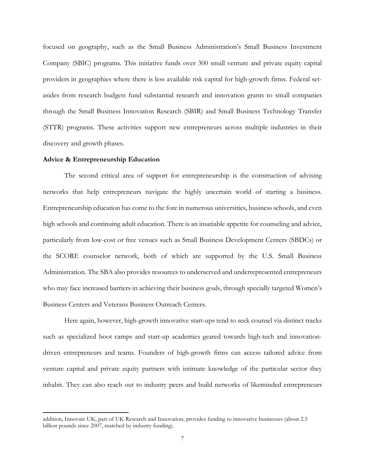focused on geography, such as the Small Business Administration's Small Business Investment Company (SBIC) programs. This initiative funds over 300 small venture and private equity capital providers in geographies where there is less available risk capital for high-growth firms. Federal setasides from research budgets fund substantial research and innovation grants to small companies through the Small Business Innovation Research (SBIR) and Small Business Technology Transfer (STTR) programs. These activities support new entrepreneurs across multiple industries in their discovery and growth phases.

#### **Advice & Entrepreneurship Education**

l

The second critical area of support for entrepreneurship is the construction of advising networks that help entrepreneurs navigate the highly uncertain world of starting a business. Entrepreneurship education has come to the fore in numerous universities, business schools, and even high schools and continuing adult education. There is an insatiable appetite for counseling and advice, particularly from low-cost or free venues such as Small Business Development Centers (SBDCs) or the SCORE counselor network, both of which are supported by the U.S. Small Business Administration. The SBA also provides resources to underserved and underrepresented entrepreneurs who may face increased barriers in achieving their business goals, through specially targeted Women's Business Centers and Veterans Business Outreach Centers.

Here again, however, high-growth innovative start-ups tend to seek counsel via distinct tracks such as specialized boot camps and start-up academies geared towards high-tech and innovationdriven entrepreneurs and teams. Founders of high-growth firms can access tailored advice from venture capital and private equity partners with intimate knowledge of the particular sector they inhabit. They can also reach out to industry peers and build networks of likeminded entrepreneurs

addition, Innovate UK, part of UK Research and Innovation, provides funding to innovative businesses (about 2.5 billion pounds since 2007, matched by industry funding).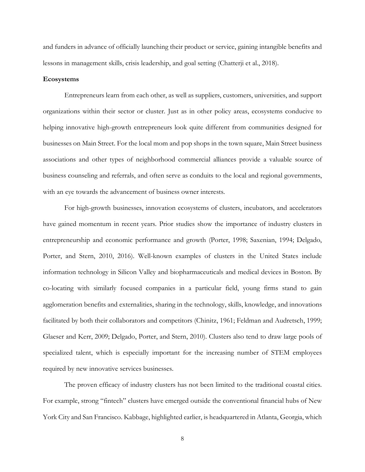and funders in advance of officially launching their product or service, gaining intangible benefits and lessons in management skills, crisis leadership, and goal setting (Chatterji et al., 2018).

#### **Ecosystems**

Entrepreneurs learn from each other, as well as suppliers, customers, universities, and support organizations within their sector or cluster. Just as in other policy areas, ecosystems conducive to helping innovative high-growth entrepreneurs look quite different from communities designed for businesses on Main Street. For the local mom and pop shops in the town square, Main Street business associations and other types of neighborhood commercial alliances provide a valuable source of business counseling and referrals, and often serve as conduits to the local and regional governments, with an eye towards the advancement of business owner interests.

For high-growth businesses, innovation ecosystems of clusters, incubators, and accelerators have gained momentum in recent years. Prior studies show the importance of industry clusters in entrepreneurship and economic performance and growth (Porter, 1998; Saxenian, 1994; Delgado, Porter, and Stern, 2010, 2016). Well-known examples of clusters in the United States include information technology in Silicon Valley and biopharmaceuticals and medical devices in Boston. By co-locating with similarly focused companies in a particular field, young firms stand to gain agglomeration benefits and externalities, sharing in the technology, skills, knowledge, and innovations facilitated by both their collaborators and competitors (Chinitz, 1961; Feldman and Audretsch, 1999; Glaeser and Kerr, 2009; Delgado, Porter, and Stern, 2010). Clusters also tend to draw large pools of specialized talent, which is especially important for the increasing number of STEM employees required by new innovative services businesses.

The proven efficacy of industry clusters has not been limited to the traditional coastal cities. For example, strong "fintech" clusters have emerged outside the conventional financial hubs of New York City and San Francisco. Kabbage, highlighted earlier, is headquartered in Atlanta, Georgia, which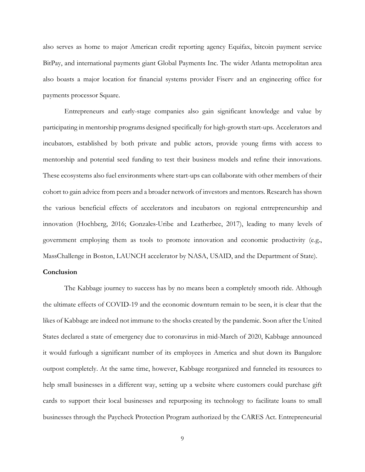also serves as home to major American credit reporting agency Equifax, bitcoin payment service BitPay, and international payments giant Global Payments Inc. The wider Atlanta metropolitan area also boasts a major location for financial systems provider Fiserv and an engineering office for payments processor Square.

Entrepreneurs and early-stage companies also gain significant knowledge and value by participating in mentorship programs designed specifically for high-growth start-ups. Accelerators and incubators, established by both private and public actors, provide young firms with access to mentorship and potential seed funding to test their business models and refine their innovations. These ecosystems also fuel environments where start-ups can collaborate with other members of their cohort to gain advice from peers and a broader network of investors and mentors. Research has shown the various beneficial effects of accelerators and incubators on regional entrepreneurship and innovation (Hochberg, 2016; Gonzales-Uribe and Leatherbee, 2017), leading to many levels of government employing them as tools to promote innovation and economic productivity (e.g., MassChallenge in Boston, LAUNCH accelerator by NASA, USAID, and the Department of State).

# **Conclusion**

The Kabbage journey to success has by no means been a completely smooth ride. Although the ultimate effects of COVID-19 and the economic downturn remain to be seen, it is clear that the likes of Kabbage are indeed not immune to the shocks created by the pandemic. Soon after the United States declared a state of emergency due to coronavirus in mid-March of 2020, Kabbage announced it would furlough a significant number of its employees in America and shut down its Bangalore outpost completely. At the same time, however, Kabbage reorganized and funneled its resources to help small businesses in a different way, setting up a website where customers could purchase gift cards to support their local businesses and repurposing its technology to facilitate loans to small businesses through the Paycheck Protection Program authorized by the CARES Act. Entrepreneurial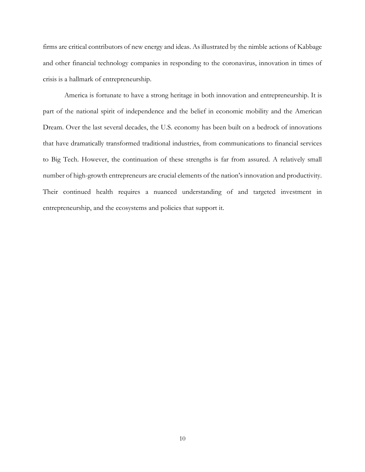firms are critical contributors of new energy and ideas. As illustrated by the nimble actions of Kabbage and other financial technology companies in responding to the coronavirus, innovation in times of crisis is a hallmark of entrepreneurship.

America is fortunate to have a strong heritage in both innovation and entrepreneurship. It is part of the national spirit of independence and the belief in economic mobility and the American Dream. Over the last several decades, the U.S. economy has been built on a bedrock of innovations that have dramatically transformed traditional industries, from communications to financial services to Big Tech. However, the continuation of these strengths is far from assured. A relatively small number of high-growth entrepreneurs are crucial elements of the nation's innovation and productivity. Their continued health requires a nuanced understanding of and targeted investment in entrepreneurship, and the ecosystems and policies that support it.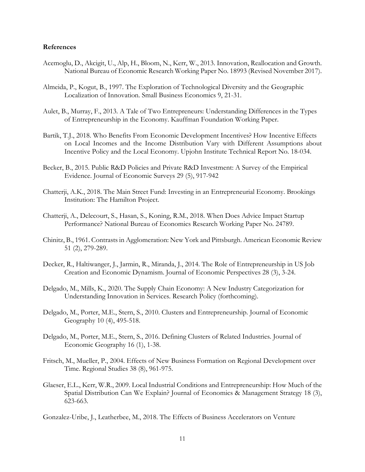#### **References**

- Acemoglu, D., Akcigit, U., Alp, H., Bloom, N., Kerr, W., 2013. Innovation, Reallocation and Growth. National Bureau of Economic Research Working Paper No. 18993 (Revised November 2017).
- Almeida, P., Kogut, B., 1997. The Exploration of Technological Diversity and the Geographic Localization of Innovation. Small Business Economics 9, 21-31.
- Aulet, B., Murray, F., 2013. A Tale of Two Entrepreneurs: Understanding Differences in the Types of Entrepreneurship in the Economy. Kauffman Foundation Working Paper.
- Bartik, T.J., 2018. Who Benefits From Economic Development Incentives? How Incentive Effects on Local Incomes and the Income Distribution Vary with Different Assumptions about Incentive Policy and the Local Economy. Upjohn Institute Technical Report No. 18-034.
- Becker, B., 2015. Public R&D Policies and Private R&D Investment: A Survey of the Empirical Evidence. Journal of Economic Surveys 29 (5), 917-942
- Chatterji, A.K., 2018. The Main Street Fund: Investing in an Entrepreneurial Economy. Brookings Institution: The Hamilton Project.
- Chatterji, A., Delecourt, S., Hasan, S., Koning, R.M., 2018. When Does Advice Impact Startup Performance? National Bureau of Economics Research Working Paper No. 24789.
- Chinitz, B., 1961. Contrasts in Agglomeration: New York and Pittsburgh. American Economic Review 51 (2), 279-289.
- Decker, R., Haltiwanger, J., Jarmin, R., Miranda, J., 2014. The Role of Entrepreneurship in US Job Creation and Economic Dynamism. Journal of Economic Perspectives 28 (3), 3-24.
- Delgado, M., Mills, K., 2020. The Supply Chain Economy: A New Industry Categorization for Understanding Innovation in Services. Research Policy (forthcoming).
- Delgado, M., Porter, M.E., Stern, S., 2010. Clusters and Entrepreneurship. Journal of Economic Geography 10 (4), 495-518.
- Delgado, M., Porter, M.E., Stern, S., 2016. Defining Clusters of Related Industries. Journal of Economic Geography 16 (1), 1-38.
- Fritsch, M., Mueller, P., 2004. Effects of New Business Formation on Regional Development over Time. Regional Studies 38 (8), 961-975.
- Glaeser, E.L., Kerr, W.R., 2009. Local Industrial Conditions and Entrepreneurship: How Much of the Spatial Distribution Can We Explain? Journal of Economics & Management Strategy 18 (3), 623-663.

Gonzalez-Uribe, J., Leatherbee, M., 2018. The Effects of Business Accelerators on Venture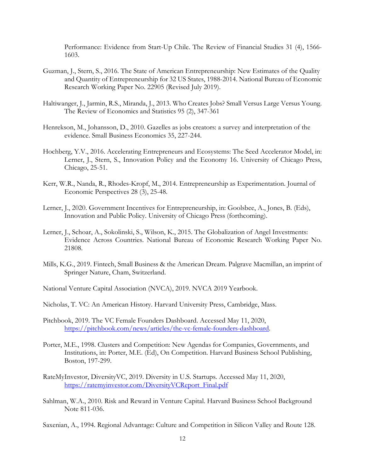Performance: Evidence from Start-Up Chile. The Review of Financial Studies 31 (4), 1566- 1603.

- Guzman, J., Stern, S., 2016. The State of American Entrepreneurship: New Estimates of the Quality and Quantity of Entrepreneurship for 32 US States, 1988-2014. National Bureau of Economic Research Working Paper No. 22905 (Revised July 2019).
- Haltiwanger, J., Jarmin, R.S., Miranda, J., 2013. Who Creates Jobs? Small Versus Large Versus Young. The Review of Economics and Statistics 95 (2), 347-361
- Henrekson, M., Johansson, D., 2010. Gazelles as jobs creators: a survey and interpretation of the evidence. Small Business Economics 35, 227-244.
- Hochberg, Y.V., 2016. Accelerating Entrepreneurs and Ecosystems: The Seed Accelerator Model, in: Lerner, J., Stern, S., Innovation Policy and the Economy 16. University of Chicago Press, Chicago, 25-51.
- Kerr, W.R., Nanda, R., Rhodes-Kropf, M., 2014. Entrepreneurship as Experimentation. Journal of Economic Perspectives 28 (3), 25-48.
- Lerner, J., 2020. Government Incentives for Entrepreneurship, in: Goolsbee, A., Jones, B. (Eds), Innovation and Public Policy. University of Chicago Press (forthcoming).
- Lerner, J., Schoar, A., Sokolinski, S., Wilson, K., 2015. The Globalization of Angel Investments: Evidence Across Countries. National Bureau of Economic Research Working Paper No. 21808.
- Mills, K.G., 2019. Fintech, Small Business & the American Dream. Palgrave Macmillan, an imprint of Springer Nature, Cham, Switzerland.
- National Venture Capital Association (NVCA), 2019. NVCA 2019 Yearbook.
- Nicholas, T. VC: An American History. Harvard University Press, Cambridge, Mass.
- Pitchbook, 2019. The VC Female Founders Dashboard. Accessed May 11, 2020, [https://pitchbook.com/news/articles/the-vc-female-founders-dashboard.](https://pitchbook.com/news/articles/the-vc-female-founders-dashboard)
- Porter, M.E., 1998. Clusters and Competition: New Agendas for Companies, Governments, and Institutions, in: Porter, M.E. (Ed), On Competition. Harvard Business School Publishing, Boston, 197-299.
- RateMyInvestor, DiversityVC, 2019. Diversity in U.S. Startups. Accessed May 11, 2020, [https://ratemyinvestor.com/DiversityVCReport\\_Final.pdf](https://ratemyinvestor.com/DiversityVCReport_Final.pdf)
- Sahlman, W.A., 2010. Risk and Reward in Venture Capital. Harvard Business School Background Note 811-036.

Saxenian, A., 1994. Regional Advantage: Culture and Competition in Silicon Valley and Route 128.